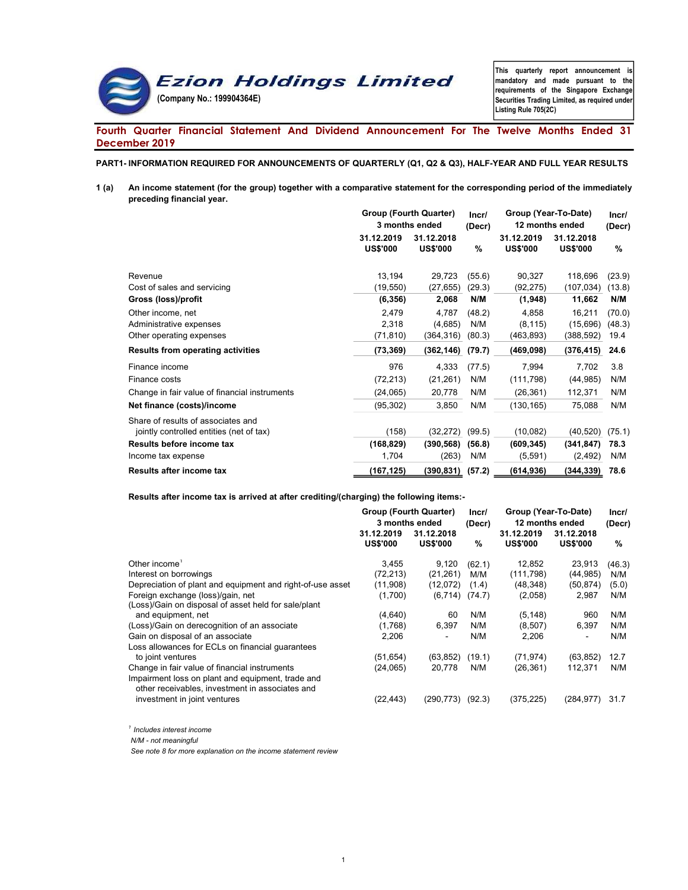

This quarterly report announcement is mandatory and made pursuant to the requirements of the Singapore Exchange Securities Trading Limited, as required under Listing Rule 705(2C)

# Fourth Quarter Financial Statement And Dividend Announcement For The Twelve Months Ended 31 December 2019

PART1- INFORMATION REQUIRED FOR ANNOUNCEMENTS OF QUARTERLY (Q1, Q2 & Q3), HALF-YEAR AND FULL YEAR RESULTS

1 (a) An income statement (for the group) together with a comparative statement for the corresponding period of the immediately preceding financial year.

|                                                                                | Group (Fourth Quarter)<br>3 months ended |                               | Incr/<br>(Decr)  | Group (Year-To-Date)<br>12 months ended |                               | Incr/<br>(Decr)  |
|--------------------------------------------------------------------------------|------------------------------------------|-------------------------------|------------------|-----------------------------------------|-------------------------------|------------------|
|                                                                                | 31.12.2019<br><b>US\$'000</b>            | 31.12.2018<br><b>US\$'000</b> | %                | 31.12.2019<br><b>US\$'000</b>           | 31.12.2018<br><b>US\$'000</b> | $\%$             |
| Revenue<br>Cost of sales and servicing                                         | 13,194<br>(19, 550)                      | 29,723<br>(27, 655)           | (55.6)<br>(29.3) | 90,327<br>(92, 275)                     | 118,696<br>(107, 034)         | (23.9)<br>(13.8) |
| Gross (loss)/profit                                                            | (6, 356)                                 | 2,068                         | N/M              | (1,948)                                 | 11,662                        | N/M              |
| Other income, net                                                              | 2,479                                    | 4,787                         | (48.2)           | 4,858                                   | 16,211                        | (70.0)           |
| Administrative expenses                                                        | 2,318                                    | (4,685)                       | N/M              | (8, 115)                                | (15,696)                      | (48.3)           |
| Other operating expenses                                                       | (71, 810)                                | (364, 316)                    | (80.3)           | (463, 893)                              | (388,592)                     | 19.4             |
| Results from operating activities                                              | (73, 369)                                | (362, 146)                    | (79.7)           | (469, 098)                              | (376, 415)                    | 24.6             |
| Finance income                                                                 | 976                                      | 4,333                         | (77.5)           | 7,994                                   | 7,702                         | 3.8              |
| Finance costs                                                                  | (72, 213)                                | (21, 261)                     | N/M              | (111, 798)                              | (44, 985)                     | N/M              |
| Change in fair value of financial instruments                                  | (24,065)                                 | 20,778                        | N/M              | (26, 361)                               | 112,371                       | N/M              |
| Net finance (costs)/income                                                     | (95, 302)                                | 3,850                         | N/M              | (130, 165)                              | 75,088                        | N/M              |
| Share of results of associates and<br>jointly controlled entities (net of tax) | (158)                                    | (32,272)                      | (99.5)           | (10, 082)                               | (40, 520)                     | (75.1)           |
| Results before income tax                                                      | (168, 829)                               | (390, 568)                    | (56.8)           | (609, 345)                              | (341, 847)                    | 78.3             |
| Income tax expense                                                             | 1,704                                    | (263)                         | N/M              | (5,591)                                 | (2, 492)                      | N/M              |
| <b>Results after income tax</b>                                                | (167,125)                                | (390,831)                     | (57.2)           | (614, 936)                              | (344,339)                     | 78.6             |

Results after income tax is arrived at after crediting/(charging) the following items:-

|                                                                                                      | Group (Fourth Quarter)<br>3 months ended |                               | Incr/<br>(Decr) | Group (Year-To-Date)<br>12 months ended |                               | Incr/<br>(Decr) |
|------------------------------------------------------------------------------------------------------|------------------------------------------|-------------------------------|-----------------|-----------------------------------------|-------------------------------|-----------------|
|                                                                                                      | 31.12.2019<br><b>US\$'000</b>            | 31.12.2018<br><b>US\$'000</b> | %               | 31.12.2019<br><b>US\$'000</b>           | 31.12.2018<br><b>US\$'000</b> | %               |
| Other income                                                                                         | 3,455                                    | 9,120                         | (62.1)          | 12,852                                  | 23,913                        | (46.3)          |
| Interest on borrowings                                                                               | (72, 213)                                | (21, 261)                     | M/M             | (111, 798)                              | (44,985)                      | N/M             |
| Depreciation of plant and equipment and right-of-use asset                                           | (11,908)                                 | (12,072)                      | (1.4)           | (48,348)                                | (50,874)                      | (5.0)           |
| Foreign exchange (loss)/gain, net<br>(Loss)/Gain on disposal of asset held for sale/plant            | (1,700)                                  | (6, 714)                      | (74.7)          | (2,058)                                 | 2,987                         | N/M             |
| and equipment, net                                                                                   | (4,640)                                  | 60                            | N/M             | (5, 148)                                | 960                           | N/M             |
| (Loss)/Gain on derecognition of an associate                                                         | (1,768)                                  | 6,397                         | N/M             | (8,507)                                 | 6,397                         | N/M             |
| Gain on disposal of an associate                                                                     | 2,206                                    | $\overline{\phantom{a}}$      | N/M             | 2,206                                   |                               | N/M             |
| Loss allowances for ECLs on financial quarantees                                                     |                                          |                               |                 |                                         |                               |                 |
| to joint ventures                                                                                    | (51,654)                                 | (63, 852)                     | (19.1)          | (71, 974)                               | (63, 852)                     | 12.7            |
| Change in fair value of financial instruments                                                        | (24,065)                                 | 20,778                        | N/M             | (26, 361)                               | 112,371                       | N/M             |
| Impairment loss on plant and equipment, trade and<br>other receivables, investment in associates and |                                          |                               |                 |                                         |                               |                 |
| investment in joint ventures                                                                         | (22,443)                                 | (290,773)                     | (92.3)          | (375, 225)                              | (284,977)                     | 31.7            |

 $<sup>1</sup>$  Includes interest income</sup>

N/M - not meaningful

See note 8 for more explanation on the income statement review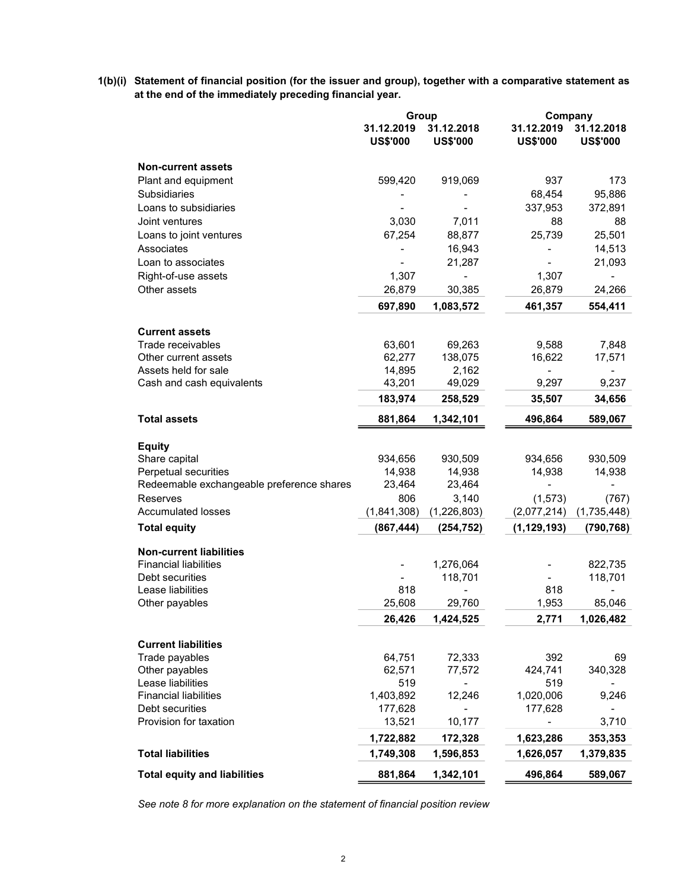1(b)(i) Statement of financial position (for the issuer and group), together with a comparative statement as at the end of the immediately preceding financial year.

|                                           | Group                         |                               |                               | Company                       |  |
|-------------------------------------------|-------------------------------|-------------------------------|-------------------------------|-------------------------------|--|
|                                           | 31.12.2019<br><b>US\$'000</b> | 31.12.2018<br><b>US\$'000</b> | 31.12.2019<br><b>US\$'000</b> | 31.12.2018<br><b>US\$'000</b> |  |
| <b>Non-current assets</b>                 |                               |                               |                               |                               |  |
| Plant and equipment                       | 599,420                       | 919,069                       | 937                           | 173                           |  |
| <b>Subsidiaries</b>                       |                               |                               | 68,454                        | 95,886                        |  |
| Loans to subsidiaries                     |                               |                               | 337,953                       | 372,891                       |  |
| Joint ventures                            | 3,030                         | 7,011                         | 88                            | 88                            |  |
| Loans to joint ventures                   | 67,254                        | 88,877                        | 25,739                        | 25,501                        |  |
| Associates                                |                               | 16,943                        |                               | 14,513                        |  |
| Loan to associates                        |                               | 21,287                        |                               | 21,093                        |  |
| Right-of-use assets                       | 1,307                         | $\blacksquare$                | 1,307                         |                               |  |
| Other assets                              | 26,879                        | 30,385                        | 26,879                        | 24,266                        |  |
|                                           | 697,890                       | 1,083,572                     | 461,357                       | 554,411                       |  |
| <b>Current assets</b>                     |                               |                               |                               |                               |  |
| Trade receivables                         | 63,601                        | 69,263                        | 9,588                         | 7,848                         |  |
| Other current assets                      | 62,277                        | 138,075                       | 16,622                        | 17,571                        |  |
| Assets held for sale                      | 14,895                        | 2,162                         |                               |                               |  |
| Cash and cash equivalents                 | 43,201                        | 49,029                        | 9,297                         | 9,237                         |  |
|                                           | 183,974                       | 258,529                       | 35,507                        | 34,656                        |  |
| <b>Total assets</b>                       | 881,864                       | 1,342,101                     | 496,864                       | 589,067                       |  |
| <b>Equity</b>                             |                               |                               |                               |                               |  |
| Share capital                             | 934,656                       | 930,509                       | 934,656                       | 930,509                       |  |
| Perpetual securities                      | 14,938                        | 14,938                        | 14,938                        | 14,938                        |  |
| Redeemable exchangeable preference shares | 23,464                        | 23,464                        | $\overline{a}$                | $\overline{a}$                |  |
| Reserves                                  | 806                           | 3,140                         | (1, 573)                      | (767)                         |  |
| <b>Accumulated losses</b>                 | (1,841,308)                   | (1,226,803)                   | (2,077,214)                   | (1,735,448)                   |  |
| <b>Total equity</b>                       | (867, 444)                    | (254, 752)                    | (1, 129, 193)                 | (790, 768)                    |  |
| <b>Non-current liabilities</b>            |                               |                               |                               |                               |  |
| <b>Financial liabilities</b>              |                               | 1,276,064                     |                               | 822,735                       |  |
| Debt securities                           |                               | 118,701                       |                               | 118,701                       |  |
| Lease liabilities                         | 818                           |                               | 818                           |                               |  |
| Other payables                            | 25,608                        | 29,760                        | 1,953                         | 85,046                        |  |
|                                           | 26,426                        | 1,424,525                     | 2,771                         | 1,026,482                     |  |
| <b>Current liabilities</b>                |                               |                               |                               |                               |  |
| Trade payables                            | 64,751                        | 72,333                        | 392                           | 69                            |  |
| Other payables                            | 62,571                        | 77,572                        | 424,741                       | 340,328                       |  |
| Lease liabilities                         | 519                           |                               | 519                           |                               |  |
| <b>Financial liabilities</b>              | 1,403,892                     | 12,246                        | 1,020,006                     | 9,246                         |  |
| Debt securities                           | 177,628                       |                               | 177,628                       |                               |  |
| Provision for taxation                    | 13,521                        | 10,177                        |                               | 3,710                         |  |
|                                           | 1,722,882                     | 172,328                       | 1,623,286                     | 353,353                       |  |
| <b>Total liabilities</b>                  | 1,749,308                     | 1,596,853                     | 1,626,057                     | 1,379,835                     |  |
| <b>Total equity and liabilities</b>       | 881,864                       | 1,342,101                     | 496,864                       | 589,067                       |  |

See note 8 for more explanation on the statement of financial position review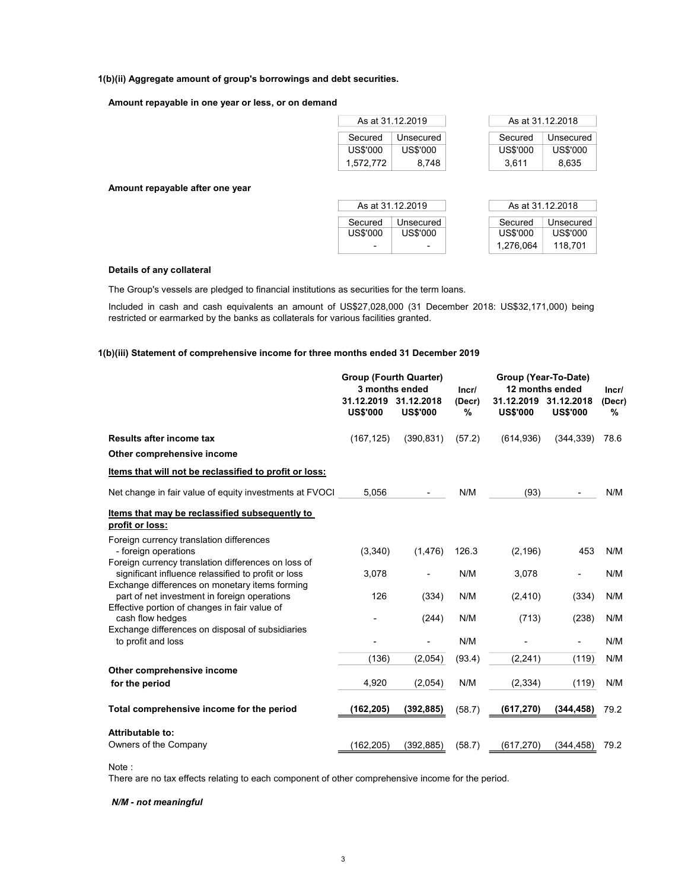### 1(b)(ii) Aggregate amount of group's borrowings and debt securities.

#### Amount repayable in one year or less, or on demand

| Secured   | Unsecured | Secured  | Unsecured |
|-----------|-----------|----------|-----------|
| US\$'000  | US\$'000  | US\$'000 | US\$'000  |
| 1,572,772 | 8.748     | 3.611    | 8,635     |

Amount repayable after one year

| As at 31.12.2019 |                          |                 | As at 31.12.2018 |
|------------------|--------------------------|-----------------|------------------|
|                  |                          |                 |                  |
| Secured          | Unsecured                | Secured         | Unsecured        |
| US\$'000         | US\$'000                 | <b>US\$'000</b> | US\$'000         |
|                  | $\overline{\phantom{0}}$ | 1.276.064       | 118.701          |

#### Details of any collateral

The Group's vessels are pledged to financial institutions as securities for the term loans.

Included in cash and cash equivalents an amount of US\$27,028,000 (31 December 2018: US\$32,171,000) being restricted or earmarked by the banks as collaterals for various facilities granted.

#### 1(b)(iii) Statement of comprehensive income for three months ended 31 December 2019

|                                                                                                                                                              | <b>Group (Fourth Quarter)</b><br>3 months ended |                               | Incr/       | Group (Year-To-Date)<br>12 months ended  |                 | Incr/       |
|--------------------------------------------------------------------------------------------------------------------------------------------------------------|-------------------------------------------------|-------------------------------|-------------|------------------------------------------|-----------------|-------------|
|                                                                                                                                                              | 31.12.2019<br><b>US\$'000</b>                   | 31.12.2018<br><b>US\$'000</b> | (Decr)<br>% | 31.12.2019 31.12.2018<br><b>US\$'000</b> | <b>US\$'000</b> | (Decr)<br>% |
| Results after income tax                                                                                                                                     | (167, 125)                                      | (390, 831)                    | (57.2)      | (614, 936)                               | (344, 339)      | 78.6        |
| Other comprehensive income                                                                                                                                   |                                                 |                               |             |                                          |                 |             |
| Items that will not be reclassified to profit or loss:                                                                                                       |                                                 |                               |             |                                          |                 |             |
| Net change in fair value of equity investments at FVOCI                                                                                                      | 5,056                                           |                               | N/M         | (93)                                     |                 | N/M         |
| Items that may be reclassified subsequently to<br>profit or loss:                                                                                            |                                                 |                               |             |                                          |                 |             |
| Foreign currency translation differences<br>- foreign operations                                                                                             | (3,340)                                         | (1, 476)                      | 126.3       | (2, 196)                                 | 453             | N/M         |
| Foreign currency translation differences on loss of<br>significant influence relassified to profit or loss<br>Exchange differences on monetary items forming | 3,078                                           |                               | N/M         | 3,078                                    | ٠               | N/M         |
| part of net investment in foreign operations<br>Effective portion of changes in fair value of                                                                | 126                                             | (334)                         | N/M         | (2, 410)                                 | (334)           | N/M         |
| cash flow hedges<br>Exchange differences on disposal of subsidiaries                                                                                         |                                                 | (244)                         | N/M         | (713)                                    | (238)           | N/M         |
| to profit and loss                                                                                                                                           |                                                 |                               | N/M         |                                          |                 | N/M         |
|                                                                                                                                                              | (136)                                           | (2,054)                       | (93.4)      | (2, 241)                                 | (119)           | N/M         |
| Other comprehensive income                                                                                                                                   |                                                 |                               |             |                                          |                 |             |
| for the period                                                                                                                                               | 4,920                                           | (2,054)                       | N/M         | (2, 334)                                 | (119)           | N/M         |
| Total comprehensive income for the period                                                                                                                    | (162,205)                                       | (392, 885)                    | (58.7)      | (617, 270)                               | (344, 458)      | 79.2        |
| <b>Attributable to:</b>                                                                                                                                      |                                                 |                               |             |                                          |                 |             |
| Owners of the Company                                                                                                                                        | (162, 205)                                      | (392, 885)                    | (58.7)      | (617, 270)                               | (344, 458)      | 79.2        |

Note :

There are no tax effects relating to each component of other comprehensive income for the period.

# N/M - not meaningful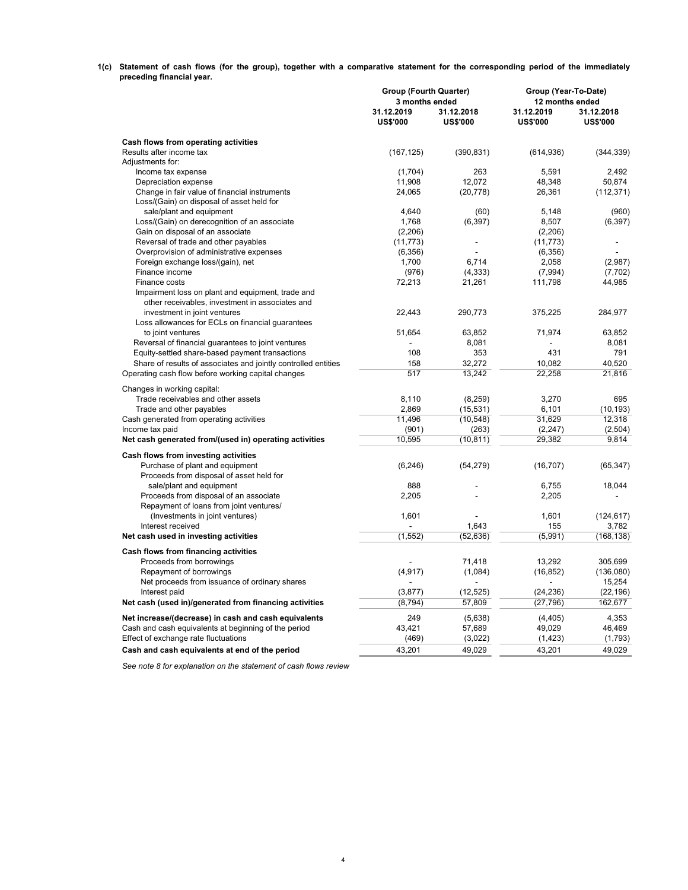1(c) Statement of cash flows (for the group), together with a comparative statement for the corresponding period of the immediately preceding financial year.

|                                                                | <b>Group (Fourth Quarter)</b><br>3 months ended |                 | Group (Year-To-Date)<br>12 months ended |                 |  |  |
|----------------------------------------------------------------|-------------------------------------------------|-----------------|-----------------------------------------|-----------------|--|--|
|                                                                | 31.12.2019                                      | 31.12.2018      | 31.12.2019                              | 31.12.2018      |  |  |
|                                                                | <b>US\$'000</b>                                 | <b>US\$'000</b> | <b>US\$'000</b>                         | <b>US\$'000</b> |  |  |
| Cash flows from operating activities                           |                                                 |                 |                                         |                 |  |  |
| Results after income tax                                       | (167, 125)                                      | (390, 831)      | (614, 936)                              | (344, 339)      |  |  |
| Adjustments for:                                               |                                                 |                 |                                         |                 |  |  |
| Income tax expense                                             | (1,704)                                         | 263             | 5,591                                   | 2,492           |  |  |
| Depreciation expense                                           | 11,908                                          | 12,072          | 48,348                                  | 50,874          |  |  |
| Change in fair value of financial instruments                  | 24,065                                          | (20, 778)       | 26,361                                  | (112, 371)      |  |  |
| Loss/(Gain) on disposal of asset held for                      |                                                 |                 |                                         |                 |  |  |
| sale/plant and equipment                                       | 4,640                                           | (60)            | 5,148                                   | (960)           |  |  |
| Loss/(Gain) on derecognition of an associate                   | 1,768                                           | (6, 397)        | 8,507                                   | (6, 397)        |  |  |
| Gain on disposal of an associate                               | (2, 206)                                        |                 | (2,206)                                 |                 |  |  |
| Reversal of trade and other payables                           | (11, 773)                                       |                 | (11, 773)                               | ÷,              |  |  |
| Overprovision of administrative expenses                       | (6,356)<br>1,700                                | 6.714           | (6,356)<br>2,058                        |                 |  |  |
| Foreign exchange loss/(gain), net                              |                                                 |                 |                                         | (2,987)         |  |  |
| Finance income                                                 | (976)                                           | (4, 333)        | (7,994)                                 | (7, 702)        |  |  |
| Finance costs                                                  | 72,213                                          | 21,261          | 111,798                                 | 44,985          |  |  |
| Impairment loss on plant and equipment, trade and              |                                                 |                 |                                         |                 |  |  |
| other receivables, investment in associates and                |                                                 |                 |                                         |                 |  |  |
| investment in joint ventures                                   | 22,443                                          | 290,773         | 375,225                                 | 284,977         |  |  |
| Loss allowances for ECLs on financial guarantees               |                                                 |                 |                                         |                 |  |  |
| to joint ventures                                              | 51,654                                          | 63.852          | 71.974                                  | 63.852          |  |  |
| Reversal of financial guarantees to joint ventures             |                                                 | 8,081           |                                         | 8,081           |  |  |
| Equity-settled share-based payment transactions                | 108                                             | 353             | 431                                     | 791             |  |  |
| Share of results of associates and jointly controlled entities | 158                                             | 32,272          | 10.082                                  | 40.520          |  |  |
| Operating cash flow before working capital changes             | 517                                             | 13,242          | 22,258                                  | 21,816          |  |  |
| Changes in working capital:                                    |                                                 |                 |                                         |                 |  |  |
| Trade receivables and other assets                             | 8,110                                           | (8, 259)        | 3,270                                   | 695             |  |  |
| Trade and other payables                                       | 2,869                                           | (15, 531)       | 6,101                                   | (10, 193)       |  |  |
| Cash generated from operating activities                       | 11,496                                          | (10, 548)       | 31,629                                  | 12,318          |  |  |
| Income tax paid                                                | (901)                                           | (263)           | (2, 247)                                | (2,504)         |  |  |
| Net cash generated from/(used in) operating activities         | 10,595                                          | (10, 811)       | 29,382                                  | 9,814           |  |  |
|                                                                |                                                 |                 |                                         |                 |  |  |
| Cash flows from investing activities                           |                                                 |                 |                                         |                 |  |  |
| Purchase of plant and equipment                                | (6, 246)                                        | (54, 279)       | (16, 707)                               | (65, 347)       |  |  |
| Proceeds from disposal of asset held for                       |                                                 |                 |                                         |                 |  |  |
| sale/plant and equipment                                       | 888                                             | ۰               | 6,755                                   | 18,044          |  |  |
| Proceeds from disposal of an associate                         | 2,205                                           |                 | 2,205                                   |                 |  |  |
| Repayment of loans from joint ventures/                        |                                                 |                 |                                         |                 |  |  |
| (Investments in joint ventures)                                | 1,601                                           |                 | 1,601                                   | (124, 617)      |  |  |
| Interest received                                              |                                                 | 1,643           | 155                                     | 3,782           |  |  |
| Net cash used in investing activities                          | (1, 552)                                        | (52, 636)       | (5,991)                                 | (168, 138)      |  |  |
| Cash flows from financing activities                           |                                                 |                 |                                         |                 |  |  |
| Proceeds from borrowings                                       |                                                 | 71.418          | 13.292                                  | 305.699         |  |  |
| Repayment of borrowings                                        | (4, 917)                                        | (1,084)         | (16, 852)                               | (136,080)       |  |  |
| Net proceeds from issuance of ordinary shares                  |                                                 |                 |                                         | 15,254          |  |  |
| Interest paid                                                  | (3,877)                                         | (12, 525)       | (24, 236)                               | (22, 196)       |  |  |
| Net cash (used in)/generated from financing activities         | (8, 794)                                        | 57,809          | (27, 796)                               | 162,677         |  |  |
|                                                                |                                                 |                 |                                         |                 |  |  |
| Net increase/(decrease) in cash and cash equivalents           | 249                                             | (5,638)         | (4, 405)                                | 4,353           |  |  |
| Cash and cash equivalents at beginning of the period           | 43,421                                          | 57,689          | 49,029                                  | 46,469          |  |  |
| Effect of exchange rate fluctuations                           | (469)                                           | (3,022)         | (1, 423)                                | (1,793)         |  |  |
| Cash and cash equivalents at end of the period                 | 43,201                                          | 49,029          | 43,201                                  | 49,029          |  |  |

See note 8 for explanation on the statement of cash flows review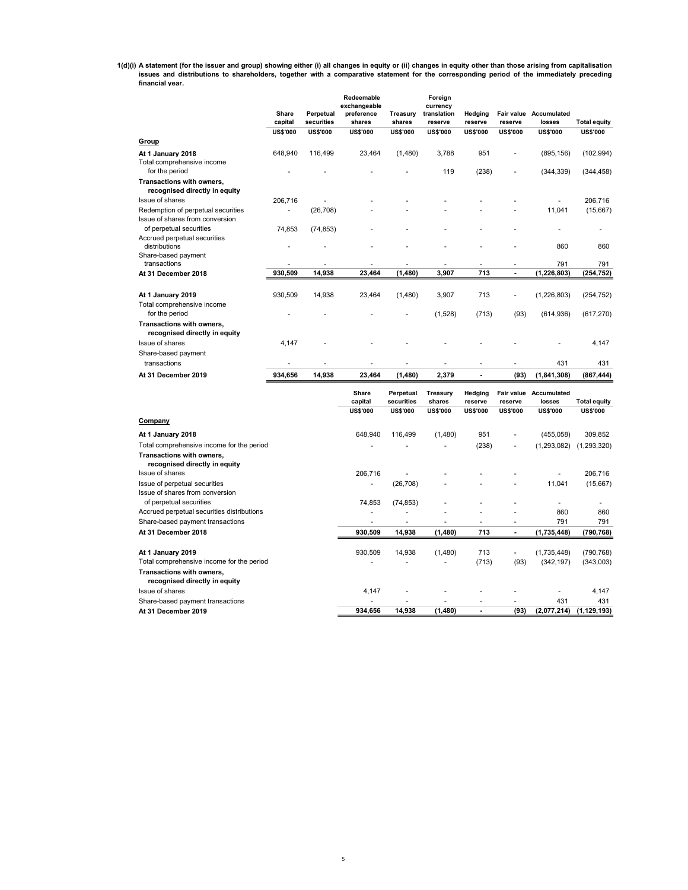1(d)(i) A statement (for the issuer and group) showing either (i) all changes in equity or (ii) changes in equity other than those arising from capitalisation<br>issues and distributions to shareholders, together with a compa financial year.

|                                                            | Share           | Perpetual       | Redeemable<br>exchangeable<br>preference | Treasury        | Foreign<br>currency<br>translation | Hedging         | <b>Fair value</b> | Accumulated     |                     |
|------------------------------------------------------------|-----------------|-----------------|------------------------------------------|-----------------|------------------------------------|-----------------|-------------------|-----------------|---------------------|
|                                                            | capital         | securities      | shares                                   | shares          | reserve                            | reserve         | reserve           | losses          | <b>Total equity</b> |
|                                                            | <b>US\$'000</b> | <b>US\$'000</b> | <b>US\$'000</b>                          | <b>US\$'000</b> | <b>US\$'000</b>                    | <b>US\$'000</b> | <b>US\$'000</b>   | <b>US\$'000</b> | <b>US\$'000</b>     |
| Group                                                      |                 |                 |                                          |                 |                                    |                 |                   |                 |                     |
| At 1 January 2018                                          | 648,940         | 116.499         | 23,464                                   | (1,480)         | 3,788                              | 951             |                   | (895, 156)      | (102, 994)          |
| Total comprehensive income                                 |                 |                 |                                          |                 |                                    |                 |                   |                 |                     |
| for the period                                             |                 |                 |                                          |                 | 119                                | (238)           |                   | (344, 339)      | (344, 458)          |
| Transactions with owners,                                  |                 |                 |                                          |                 |                                    |                 |                   |                 |                     |
| recognised directly in equity                              |                 |                 |                                          |                 |                                    |                 |                   |                 |                     |
| Issue of shares                                            | 206.716         |                 |                                          |                 |                                    |                 |                   |                 | 206.716             |
| Redemption of perpetual securities                         |                 | (26, 708)       |                                          |                 |                                    |                 |                   | 11.041          | (15,667)            |
| Issue of shares from conversion                            |                 |                 |                                          |                 |                                    |                 |                   |                 |                     |
| of perpetual securities                                    | 74,853          | (74, 853)       |                                          |                 |                                    |                 |                   |                 |                     |
| Accrued perpetual securities                               |                 |                 |                                          |                 |                                    |                 |                   |                 |                     |
| distributions                                              |                 |                 |                                          |                 |                                    |                 |                   | 860             | 860                 |
| Share-based payment                                        |                 |                 |                                          |                 |                                    |                 |                   |                 |                     |
| transactions                                               |                 |                 |                                          |                 |                                    |                 |                   | 791             | 791                 |
| At 31 December 2018                                        | 930,509         | 14,938          | 23,464                                   | (1,480)         | 3,907                              | 713             | $\blacksquare$    | (1, 226, 803)   | (254, 752)          |
|                                                            |                 |                 |                                          |                 |                                    |                 |                   |                 |                     |
| At 1 January 2019                                          | 930,509         | 14,938          | 23,464                                   | (1,480)         | 3,907                              | 713             |                   | (1,226,803)     | (254, 752)          |
| Total comprehensive income                                 |                 |                 |                                          |                 |                                    |                 |                   |                 |                     |
| for the period                                             |                 |                 |                                          |                 | (1,528)                            | (713)           | (93)              | (614, 936)      | (617, 270)          |
| Transactions with owners,<br>recognised directly in equity |                 |                 |                                          |                 |                                    |                 |                   |                 |                     |
| Issue of shares                                            | 4.147           |                 |                                          |                 |                                    |                 |                   |                 | 4.147               |
| Share-based payment                                        |                 |                 |                                          |                 |                                    |                 |                   |                 |                     |
| transactions                                               |                 |                 |                                          |                 |                                    |                 |                   | 431             | 431                 |
| At 31 December 2019                                        | 934.656         | 14.938          | 23.464                                   | (1.480)         | 2.379                              |                 | (93)              | (1,841,308)     | (867, 444)          |

|                                                            | Share<br>capital | Perpetual<br>securities | Treasurv<br>shares | Hedging<br>reserve | Fair value<br>reserve | Accumulated<br>losses | <b>Total equity</b> |
|------------------------------------------------------------|------------------|-------------------------|--------------------|--------------------|-----------------------|-----------------------|---------------------|
|                                                            | <b>US\$'000</b>  | <b>US\$'000</b>         | <b>US\$'000</b>    | <b>US\$'000</b>    | <b>US\$'000</b>       | <b>US\$'000</b>       | <b>US\$'000</b>     |
| Company                                                    |                  |                         |                    |                    |                       |                       |                     |
| At 1 January 2018                                          | 648,940          | 116,499                 | (1,480)            | 951                | ٠                     | (455, 058)            | 309,852             |
| Total comprehensive income for the period                  |                  |                         |                    | (238)              | ٠                     | (1,293,082)           | (1,293,320)         |
| Transactions with owners,<br>recognised directly in equity |                  |                         |                    |                    |                       |                       |                     |
| Issue of shares                                            | 206,716          |                         |                    |                    |                       |                       | 206,716             |
| Issue of perpetual securities                              |                  | (26, 708)               |                    |                    |                       | 11,041                | (15,667)            |
| Issue of shares from conversion                            |                  |                         |                    |                    |                       |                       |                     |
| of perpetual securities                                    | 74,853           | (74, 853)               |                    |                    |                       |                       |                     |
| Accrued perpetual securities distributions                 |                  |                         |                    |                    |                       | 860                   | 860                 |
| Share-based payment transactions                           | ۰                | ۰                       | ۰                  |                    |                       | 791                   | 791                 |
| At 31 December 2018                                        | 930,509          | 14,938                  | (1,480)            | 713                | ٠                     | (1,735,448)           | (790, 768)          |
| At 1 January 2019                                          | 930,509          | 14,938                  | (1,480)            | 713                |                       | (1,735,448)           | (790, 768)          |
| Total comprehensive income for the period                  |                  |                         |                    | (713)              | (93)                  | (342, 197)            | (343,003)           |
| Transactions with owners,<br>recognised directly in equity |                  |                         |                    |                    |                       |                       |                     |
| Issue of shares                                            | 4,147            |                         |                    |                    |                       |                       | 4,147               |
| Share-based payment transactions                           |                  |                         |                    |                    | ٠                     | 431                   | 431                 |
| At 31 December 2019                                        | 934.656          | 14.938                  | (1,480)            |                    | (93)                  | (2,077,214)           | (1, 129, 193)       |

5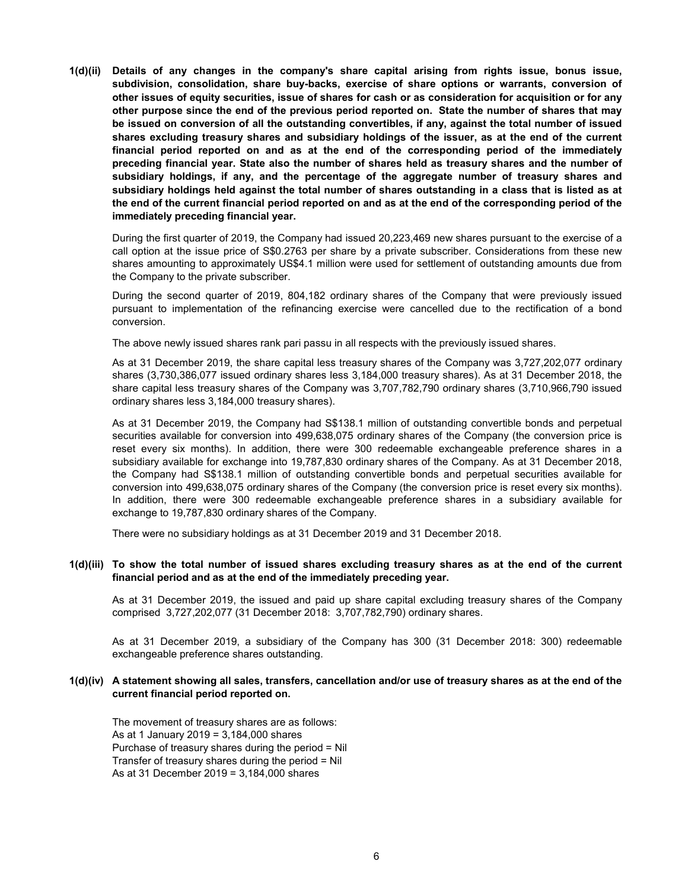1(d)(ii) Details of any changes in the company's share capital arising from rights issue, bonus issue, subdivision, consolidation, share buy-backs, exercise of share options or warrants, conversion of other issues of equity securities, issue of shares for cash or as consideration for acquisition or for any other purpose since the end of the previous period reported on. State the number of shares that may be issued on conversion of all the outstanding convertibles, if any, against the total number of issued shares excluding treasury shares and subsidiary holdings of the issuer, as at the end of the current financial period reported on and as at the end of the corresponding period of the immediately preceding financial year. State also the number of shares held as treasury shares and the number of subsidiary holdings, if any, and the percentage of the aggregate number of treasury shares and subsidiary holdings held against the total number of shares outstanding in a class that is listed as at the end of the current financial period reported on and as at the end of the corresponding period of the immediately preceding financial year.

During the first quarter of 2019, the Company had issued 20,223,469 new shares pursuant to the exercise of a call option at the issue price of S\$0.2763 per share by a private subscriber. Considerations from these new shares amounting to approximately US\$4.1 million were used for settlement of outstanding amounts due from the Company to the private subscriber.

During the second quarter of 2019, 804,182 ordinary shares of the Company that were previously issued pursuant to implementation of the refinancing exercise were cancelled due to the rectification of a bond conversion.

The above newly issued shares rank pari passu in all respects with the previously issued shares.

As at 31 December 2019, the share capital less treasury shares of the Company was 3,727,202,077 ordinary shares (3,730,386,077 issued ordinary shares less 3,184,000 treasury shares). As at 31 December 2018, the share capital less treasury shares of the Company was 3,707,782,790 ordinary shares (3,710,966,790 issued ordinary shares less 3,184,000 treasury shares).

As at 31 December 2019, the Company had S\$138.1 million of outstanding convertible bonds and perpetual securities available for conversion into 499,638,075 ordinary shares of the Company (the conversion price is reset every six months). In addition, there were 300 redeemable exchangeable preference shares in a subsidiary available for exchange into 19,787,830 ordinary shares of the Company. As at 31 December 2018, the Company had S\$138.1 million of outstanding convertible bonds and perpetual securities available for conversion into 499,638,075 ordinary shares of the Company (the conversion price is reset every six months). In addition, there were 300 redeemable exchangeable preference shares in a subsidiary available for exchange to 19,787,830 ordinary shares of the Company.

There were no subsidiary holdings as at 31 December 2019 and 31 December 2018.

# 1(d)(iii) To show the total number of issued shares excluding treasury shares as at the end of the current financial period and as at the end of the immediately preceding year.

As at 31 December 2019, the issued and paid up share capital excluding treasury shares of the Company comprised 3,727,202,077 (31 December 2018: 3,707,782,790) ordinary shares.

As at 31 December 2019, a subsidiary of the Company has 300 (31 December 2018: 300) redeemable exchangeable preference shares outstanding.

# 1(d)(iv) A statement showing all sales, transfers, cancellation and/or use of treasury shares as at the end of the current financial period reported on.

The movement of treasury shares are as follows: As at 1 January 2019 = 3,184,000 shares Purchase of treasury shares during the period = Nil Transfer of treasury shares during the period = Nil As at 31 December 2019 = 3,184,000 shares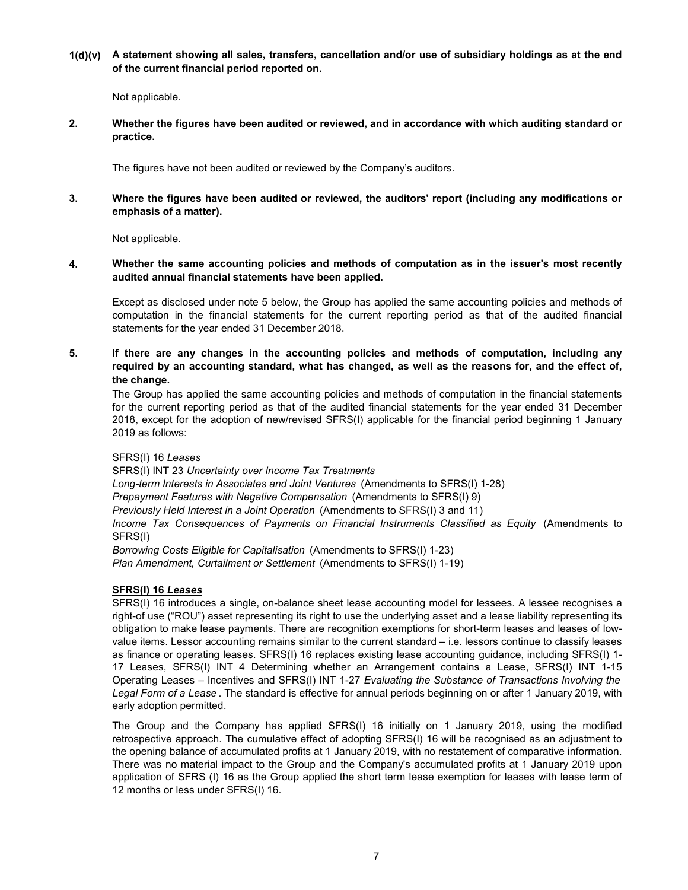1(d)(v) A statement showing all sales, transfers, cancellation and/or use of subsidiary holdings as at the end of the current financial period reported on.

Not applicable.

2. Whether the figures have been audited or reviewed, and in accordance with which auditing standard or practice.

The figures have not been audited or reviewed by the Company's auditors.

3. Where the figures have been audited or reviewed, the auditors' report (including any modifications or emphasis of a matter).

Not applicable.

4. Whether the same accounting policies and methods of computation as in the issuer's most recently audited annual financial statements have been applied.

Except as disclosed under note 5 below, the Group has applied the same accounting policies and methods of computation in the financial statements for the current reporting period as that of the audited financial statements for the year ended 31 December 2018.

5. If there are any changes in the accounting policies and methods of computation, including any required by an accounting standard, what has changed, as well as the reasons for, and the effect of, the change.

The Group has applied the same accounting policies and methods of computation in the financial statements for the current reporting period as that of the audited financial statements for the year ended 31 December 2018, except for the adoption of new/revised SFRS(I) applicable for the financial period beginning 1 January 2019 as follows:

# SFRS(I) 16 Leases

SFRS(I) INT 23 Uncertainty over Income Tax Treatments Plan Amendment, Curtailment or Settlement (Amendments to SFRS(I) 1-19) Long-term Interests in Associates and Joint Ventures (Amendments to SFRS(I) 1-28) Prepayment Features with Negative Compensation (Amendments to SFRS(I) 9) Previously Held Interest in a Joint Operation (Amendments to SFRS(I) 3 and 11) Income Tax Consequences of Payments on Financial Instruments Classified as Equity (Amendments to SFRS(I) Borrowing Costs Eligible for Capitalisation (Amendments to SFRS(I) 1-23)

# SFRS(I) 16 Leases

SFRS(I) 16 introduces a single, on-balance sheet lease accounting model for lessees. A lessee recognises a right-of use ("ROU") asset representing its right to use the underlying asset and a lease liability representing its obligation to make lease payments. There are recognition exemptions for short-term leases and leases of lowvalue items. Lessor accounting remains similar to the current standard – i.e. lessors continue to classify leases as finance or operating leases. SFRS(I) 16 replaces existing lease accounting guidance, including SFRS(I) 1- 17 Leases, SFRS(I) INT 4 Determining whether an Arrangement contains a Lease, SFRS(I) INT 1-15 Operating Leases – Incentives and SFRS(I) INT 1-27 Evaluating the Substance of Transactions Involving the Legal Form of a Lease. The standard is effective for annual periods beginning on or after 1 January 2019, with early adoption permitted.

The Group and the Company has applied SFRS(I) 16 initially on 1 January 2019, using the modified retrospective approach. The cumulative effect of adopting SFRS(I) 16 will be recognised as an adjustment to the opening balance of accumulated profits at 1 January 2019, with no restatement of comparative information. There was no material impact to the Group and the Company's accumulated profits at 1 January 2019 upon application of SFRS (I) 16 as the Group applied the short term lease exemption for leases with lease term of 12 months or less under SFRS(I) 16.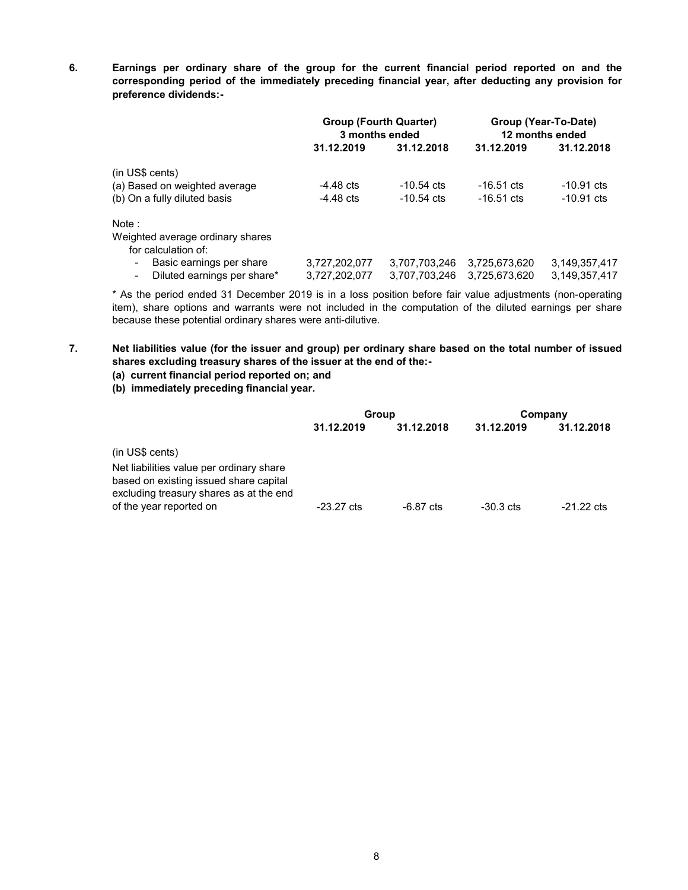6. Earnings per ordinary share of the group for the current financial period reported on and the corresponding period of the immediately preceding financial year, after deducting any provision for preference dividends:-

|                                                             | <b>Group (Fourth Quarter)</b><br>3 months ended |               |                      | Group (Year-To-Date)<br>12 months ended |
|-------------------------------------------------------------|-------------------------------------------------|---------------|----------------------|-----------------------------------------|
|                                                             | 31.12.2019                                      | 31.12.2018    | 31.12.2019           | 31.12.2018                              |
| (in US\$ cents)                                             |                                                 |               |                      |                                         |
| (a) Based on weighted average                               | $-4.48$ cts                                     | $-10.54$ cts  | $-16.51 \text{ cts}$ | $-10.91$ cts                            |
| (b) On a fully diluted basis                                | $-4.48$ cts                                     | $-10.54$ cts  | $-16.51$ cts         | $-10.91$ cts                            |
| Note:                                                       |                                                 |               |                      |                                         |
| Weighted average ordinary shares                            |                                                 |               |                      |                                         |
| for calculation of:                                         |                                                 |               |                      |                                         |
| Basic earnings per share<br>$\qquad \qquad \blacksquare$    | 3,727,202,077                                   | 3,707,703,246 | 3,725,673,620        | 3,149,357,417                           |
| Diluted earnings per share*<br>$\qquad \qquad \blacksquare$ | 3,727,202,077                                   | 3,707,703,246 | 3,725,673,620        | 3,149,357,417                           |

\* As the period ended 31 December 2019 is in a loss position before fair value adjustments (non-operating item), share options and warrants were not included in the computation of the diluted earnings per share because these potential ordinary shares were anti-dilutive.

- 7. Net liabilities value (for the issuer and group) per ordinary share based on the total number of issued shares excluding treasury shares of the issuer at the end of the:-
	- (a) current financial period reported on; and
	- (b) immediately preceding financial year.

|                                                                                                                               | Group                |            |             | Company              |
|-------------------------------------------------------------------------------------------------------------------------------|----------------------|------------|-------------|----------------------|
|                                                                                                                               | 31.12.2019           | 31.12.2018 | 31.12.2019  | 31.12.2018           |
| $(in US\ cents)$                                                                                                              |                      |            |             |                      |
| Net liabilities value per ordinary share<br>based on existing issued share capital<br>excluding treasury shares as at the end |                      |            |             |                      |
| of the year reported on                                                                                                       | $-23.27 \text{ cts}$ | -6.87 cts  | $-30.3$ cts | $-21.22 \text{ cts}$ |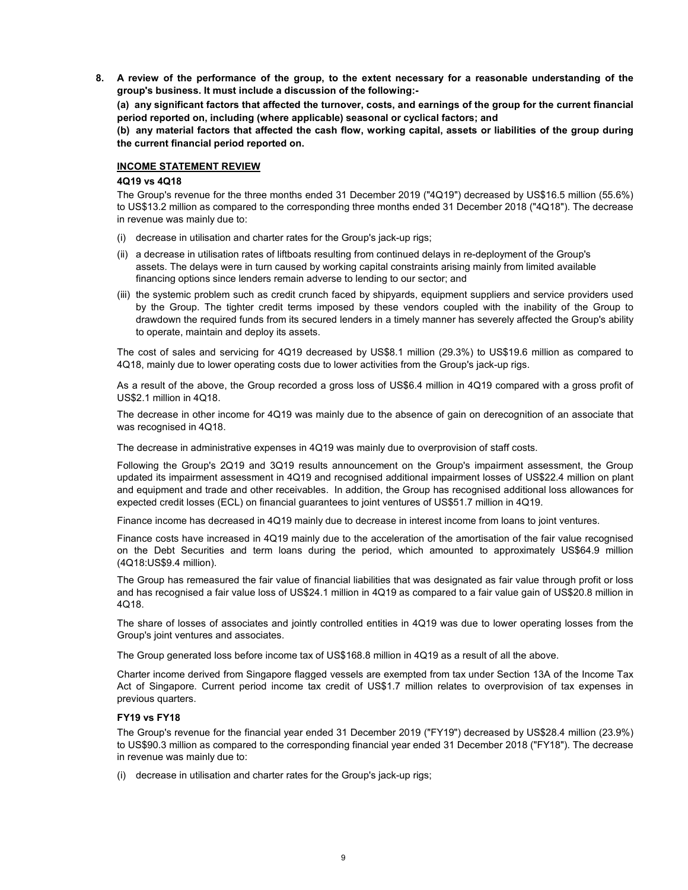8. A review of the performance of the group, to the extent necessary for a reasonable understanding of the group's business. It must include a discussion of the following:-

(a) any significant factors that affected the turnover, costs, and earnings of the group for the current financial period reported on, including (where applicable) seasonal or cyclical factors; and

(b) any material factors that affected the cash flow, working capital, assets or liabilities of the group during the current financial period reported on.

### INCOME STATEMENT REVIEW

### 4Q19 vs 4Q18

The Group's revenue for the three months ended 31 December 2019 ("4Q19") decreased by US\$16.5 million (55.6%) to US\$13.2 million as compared to the corresponding three months ended 31 December 2018 ("4Q18"). The decrease in revenue was mainly due to:

- (i) decrease in utilisation and charter rates for the Group's jack-up rigs;
- (ii) a decrease in utilisation rates of liftboats resulting from continued delays in re-deployment of the Group's assets. The delays were in turn caused by working capital constraints arising mainly from limited available financing options since lenders remain adverse to lending to our sector; and
- (iii) the systemic problem such as credit crunch faced by shipyards, equipment suppliers and service providers used by the Group. The tighter credit terms imposed by these vendors coupled with the inability of the Group to drawdown the required funds from its secured lenders in a timely manner has severely affected the Group's ability to operate, maintain and deploy its assets.

The cost of sales and servicing for 4Q19 decreased by US\$8.1 million (29.3%) to US\$19.6 million as compared to 4Q18, mainly due to lower operating costs due to lower activities from the Group's jack-up rigs.

As a result of the above, the Group recorded a gross loss of US\$6.4 million in 4Q19 compared with a gross profit of US\$2.1 million in 4Q18.

The decrease in other income for 4Q19 was mainly due to the absence of gain on derecognition of an associate that was recognised in 4Q18.

The decrease in administrative expenses in 4Q19 was mainly due to overprovision of staff costs.

Following the Group's 2Q19 and 3Q19 results announcement on the Group's impairment assessment, the Group updated its impairment assessment in 4Q19 and recognised additional impairment losses of US\$22.4 million on plant and equipment and trade and other receivables. In addition, the Group has recognised additional loss allowances for expected credit losses (ECL) on financial guarantees to joint ventures of US\$51.7 million in 4Q19.

Finance income has decreased in 4Q19 mainly due to decrease in interest income from loans to joint ventures.

Finance costs have increased in 4Q19 mainly due to the acceleration of the amortisation of the fair value recognised on the Debt Securities and term loans during the period, which amounted to approximately US\$64.9 million (4Q18:US\$9.4 million).

The Group has remeasured the fair value of financial liabilities that was designated as fair value through profit or loss and has recognised a fair value loss of US\$24.1 million in 4Q19 as compared to a fair value gain of US\$20.8 million in 4Q18.

The share of losses of associates and jointly controlled entities in 4Q19 was due to lower operating losses from the Group's joint ventures and associates.

The Group generated loss before income tax of US\$168.8 million in 4Q19 as a result of all the above.

Charter income derived from Singapore flagged vessels are exempted from tax under Section 13A of the Income Tax Act of Singapore. Current period income tax credit of US\$1.7 million relates to overprovision of tax expenses in previous quarters.

## FY19 vs FY18

The Group's revenue for the financial year ended 31 December 2019 ("FY19") decreased by US\$28.4 million (23.9%) to US\$90.3 million as compared to the corresponding financial year ended 31 December 2018 ("FY18"). The decrease in revenue was mainly due to:

(i) decrease in utilisation and charter rates for the Group's jack-up rigs;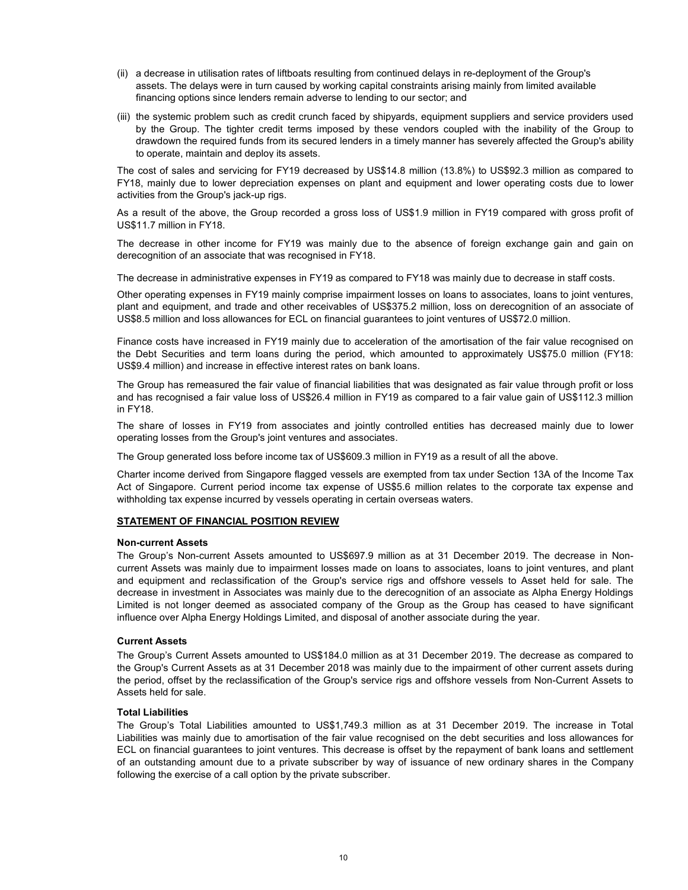- (ii) a decrease in utilisation rates of liftboats resulting from continued delays in re-deployment of the Group's assets. The delays were in turn caused by working capital constraints arising mainly from limited available financing options since lenders remain adverse to lending to our sector; and
- (iii) the systemic problem such as credit crunch faced by shipyards, equipment suppliers and service providers used by the Group. The tighter credit terms imposed by these vendors coupled with the inability of the Group to drawdown the required funds from its secured lenders in a timely manner has severely affected the Group's ability to operate, maintain and deploy its assets.

The cost of sales and servicing for FY19 decreased by US\$14.8 million (13.8%) to US\$92.3 million as compared to FY18, mainly due to lower depreciation expenses on plant and equipment and lower operating costs due to lower activities from the Group's jack-up rigs.

As a result of the above, the Group recorded a gross loss of US\$1.9 million in FY19 compared with gross profit of US\$11.7 million in FY18.

The decrease in other income for FY19 was mainly due to the absence of foreign exchange gain and gain on derecognition of an associate that was recognised in FY18.

The decrease in administrative expenses in FY19 as compared to FY18 was mainly due to decrease in staff costs.

Other operating expenses in FY19 mainly comprise impairment losses on loans to associates, loans to joint ventures, plant and equipment, and trade and other receivables of US\$375.2 million, loss on derecognition of an associate of US\$8.5 million and loss allowances for ECL on financial guarantees to joint ventures of US\$72.0 million.

Finance costs have increased in FY19 mainly due to acceleration of the amortisation of the fair value recognised on the Debt Securities and term loans during the period, which amounted to approximately US\$75.0 million (FY18: US\$9.4 million) and increase in effective interest rates on bank loans.

The Group has remeasured the fair value of financial liabilities that was designated as fair value through profit or loss and has recognised a fair value loss of US\$26.4 million in FY19 as compared to a fair value gain of US\$112.3 million in FY18.

The share of losses in FY19 from associates and jointly controlled entities has decreased mainly due to lower operating losses from the Group's joint ventures and associates.

The Group generated loss before income tax of US\$609.3 million in FY19 as a result of all the above.

Charter income derived from Singapore flagged vessels are exempted from tax under Section 13A of the Income Tax Act of Singapore. Current period income tax expense of US\$5.6 million relates to the corporate tax expense and withholding tax expense incurred by vessels operating in certain overseas waters.

## STATEMENT OF FINANCIAL POSITION REVIEW

## Non-current Assets

The Group's Non-current Assets amounted to US\$697.9 million as at 31 December 2019. The decrease in Noncurrent Assets was mainly due to impairment losses made on loans to associates, loans to joint ventures, and plant and equipment and reclassification of the Group's service rigs and offshore vessels to Asset held for sale. The decrease in investment in Associates was mainly due to the derecognition of an associate as Alpha Energy Holdings Limited is not longer deemed as associated company of the Group as the Group has ceased to have significant influence over Alpha Energy Holdings Limited, and disposal of another associate during the year.

## Current Assets

The Group's Current Assets amounted to US\$184.0 million as at 31 December 2019. The decrease as compared to the Group's Current Assets as at 31 December 2018 was mainly due to the impairment of other current assets during the period, offset by the reclassification of the Group's service rigs and offshore vessels from Non-Current Assets to Assets held for sale.

#### Total Liabilities

The Group's Total Liabilities amounted to US\$1,749.3 million as at 31 December 2019. The increase in Total Liabilities was mainly due to amortisation of the fair value recognised on the debt securities and loss allowances for ECL on financial guarantees to joint ventures. This decrease is offset by the repayment of bank loans and settlement of an outstanding amount due to a private subscriber by way of issuance of new ordinary shares in the Company following the exercise of a call option by the private subscriber.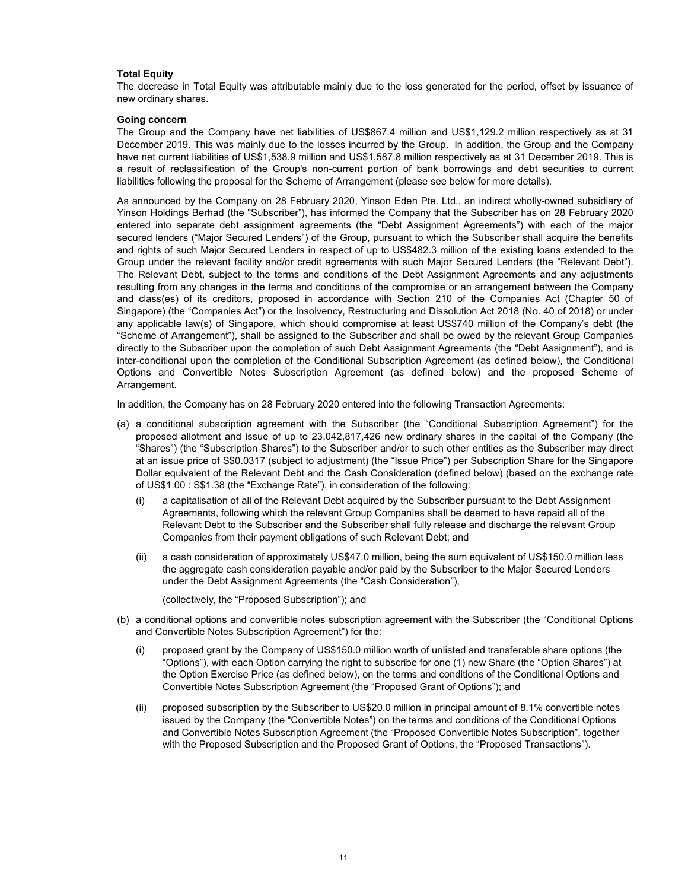### Total Equity

The decrease in Total Equity was attributable mainly due to the loss generated for the period, offset by issuance of new ordinary shares.

#### Going concern

The Group and the Company have net liabilities of US\$867.4 million and US\$1,129.2 million respectively as at 31 December 2019. This was mainly due to the losses incurred by the Group. In addition, the Group and the Company have net current liabilities of US\$1,538.9 million and US\$1,587.8 million respectively as at 31 December 2019. This is a result of reclassification of the Group's non-current portion of bank borrowings and debt securities to current liabilities following the proposal for the Scheme of Arrangement (please see below for more details).

As announced by the Company on 28 February 2020, Yinson Eden Pte. Ltd., an indirect wholly-owned subsidiary of Yinson Holdings Berhad (the "Subscriber"), has informed the Company that the Subscriber has on 28 February 2020 entered into separate debt assignment agreements (the "Debt Assignment Agreements") with each of the major secured lenders ("Major Secured Lenders") of the Group, pursuant to which the Subscriber shall acquire the benefits and rights of such Major Secured Lenders in respect of up to US\$482.3 million of the existing loans extended to the Group under the relevant facility and/or credit agreements with such Major Secured Lenders (the "Relevant Debt"). The Relevant Debt, subject to the terms and conditions of the Debt Assignment Agreements and any adjustments resulting from any changes in the terms and conditions of the compromise or an arrangement between the Company and class(es) of its creditors, proposed in accordance with Section 210 of the Companies Act (Chapter 50 of Singapore) (the "Companies Act") or the Insolvency, Restructuring and Dissolution Act 2018 (No. 40 of 2018) or under any applicable law(s) of Singapore, which should compromise at least US\$740 million of the Company's debt (the "Scheme of Arrangement"), shall be assigned to the Subscriber and shall be owed by the relevant Group Companies directly to the Subscriber upon the completion of such Debt Assignment Agreements (the "Debt Assignment"), and is inter-conditional upon the completion of the Conditional Subscription Agreement (as defined below), the Conditional Options and Convertible Notes Subscription Agreement (as defined below) and the proposed Scheme of Arrangement.

In addition, the Company has on 28 February 2020 entered into the following Transaction Agreements:

- (a) a conditional subscription agreement with the Subscriber (the "Conditional Subscription Agreement") for the proposed allotment and issue of up to 23,042,817,426 new ordinary shares in the capital of the Company (the "Shares") (the "Subscription Shares") to the Subscriber and/or to such other entities as the Subscriber may direct at an issue price of S\$0.0317 (subject to adjustment) (the "Issue Price") per Subscription Share for the Singapore Dollar equivalent of the Relevant Debt and the Cash Consideration (defined below) (based on the exchange rate of US\$1.00 : S\$1.38 (the "Exchange Rate"), in consideration of the following:
	- (i) a capitalisation of all of the Relevant Debt acquired by the Subscriber pursuant to the Debt Assignment Agreements, following which the relevant Group Companies shall be deemed to have repaid all of the Relevant Debt to the Subscriber and the Subscriber shall fully release and discharge the relevant Group Companies from their payment obligations of such Relevant Debt; and
	- (ii) a cash consideration of approximately US\$47.0 million, being the sum equivalent of US\$150.0 million less the aggregate cash consideration payable and/or paid by the Subscriber to the Major Secured Lenders under the Debt Assignment Agreements (the "Cash Consideration"),

(collectively, the "Proposed Subscription"); and

- (b) a conditional options and convertible notes subscription agreement with the Subscriber (the "Conditional Options and Convertible Notes Subscription Agreement") for the:
	- (i) proposed grant by the Company of US\$150.0 million worth of unlisted and transferable share options (the "Options"), with each Option carrying the right to subscribe for one (1) new Share (the "Option Shares") at the Option Exercise Price (as defined below), on the terms and conditions of the Conditional Options and Convertible Notes Subscription Agreement (the "Proposed Grant of Options"); and
	- (ii) proposed subscription by the Subscriber to US\$20.0 million in principal amount of 8.1% convertible notes issued by the Company (the "Convertible Notes") on the terms and conditions of the Conditional Options and Convertible Notes Subscription Agreement (the "Proposed Convertible Notes Subscription", together with the Proposed Subscription and the Proposed Grant of Options, the "Proposed Transactions").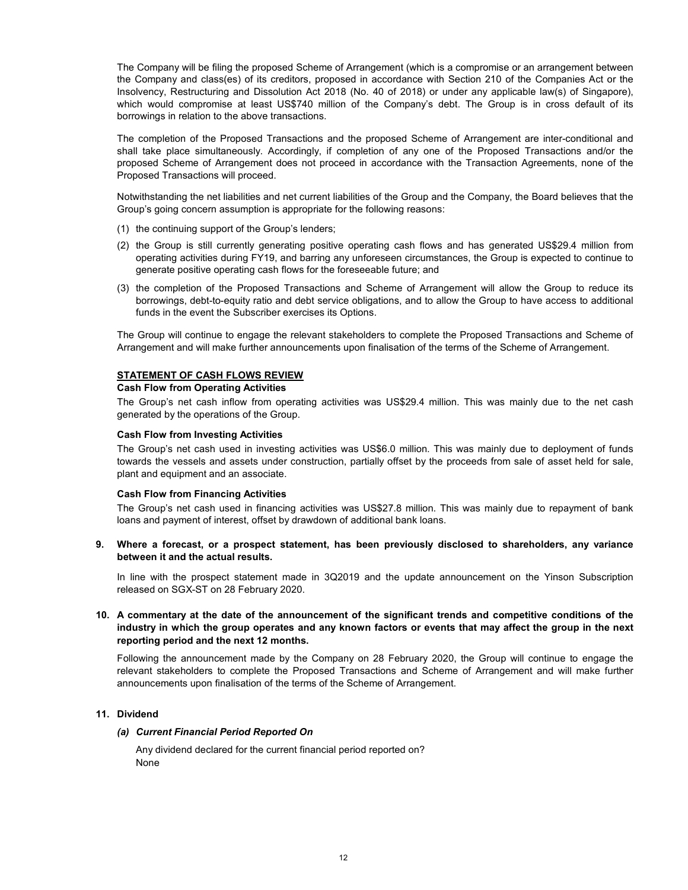The Company will be filing the proposed Scheme of Arrangement (which is a compromise or an arrangement between the Company and class(es) of its creditors, proposed in accordance with Section 210 of the Companies Act or the Insolvency, Restructuring and Dissolution Act 2018 (No. 40 of 2018) or under any applicable law(s) of Singapore), which would compromise at least US\$740 million of the Company's debt. The Group is in cross default of its borrowings in relation to the above transactions.

The completion of the Proposed Transactions and the proposed Scheme of Arrangement are inter-conditional and shall take place simultaneously. Accordingly, if completion of any one of the Proposed Transactions and/or the proposed Scheme of Arrangement does not proceed in accordance with the Transaction Agreements, none of the Proposed Transactions will proceed.

Notwithstanding the net liabilities and net current liabilities of the Group and the Company, the Board believes that the Group's going concern assumption is appropriate for the following reasons:

- (1) the continuing support of the Group's lenders;
- (2) the Group is still currently generating positive operating cash flows and has generated US\$29.4 million from operating activities during FY19, and barring any unforeseen circumstances, the Group is expected to continue to generate positive operating cash flows for the foreseeable future; and
- (3) the completion of the Proposed Transactions and Scheme of Arrangement will allow the Group to reduce its borrowings, debt-to-equity ratio and debt service obligations, and to allow the Group to have access to additional funds in the event the Subscriber exercises its Options.

The Group will continue to engage the relevant stakeholders to complete the Proposed Transactions and Scheme of Arrangement and will make further announcements upon finalisation of the terms of the Scheme of Arrangement.

## STATEMENT OF CASH FLOWS REVIEW

#### Cash Flow from Operating Activities

The Group's net cash inflow from operating activities was US\$29.4 million. This was mainly due to the net cash generated by the operations of the Group.

#### Cash Flow from Investing Activities

The Group's net cash used in investing activities was US\$6.0 million. This was mainly due to deployment of funds towards the vessels and assets under construction, partially offset by the proceeds from sale of asset held for sale, plant and equipment and an associate.

#### .Cash Flow from Financing Activities

The Group's net cash used in financing activities was US\$27.8 million. This was mainly due to repayment of bank loans and payment of interest, offset by drawdown of additional bank loans.

#### 9. Where a forecast, or a prospect statement, has been previously disclosed to shareholders, any variance between it and the actual results.

In line with the prospect statement made in 3Q2019 and the update announcement on the Yinson Subscription released on SGX-ST on 28 February 2020.

# 10. A commentary at the date of the announcement of the significant trends and competitive conditions of the industry in which the group operates and any known factors or events that may affect the group in the next reporting period and the next 12 months.

Following the announcement made by the Company on 28 February 2020, the Group will continue to engage the relevant stakeholders to complete the Proposed Transactions and Scheme of Arrangement and will make further announcements upon finalisation of the terms of the Scheme of Arrangement.

#### 11. Dividend

#### (a) Current Financial Period Reported On

Any dividend declared for the current financial period reported on? None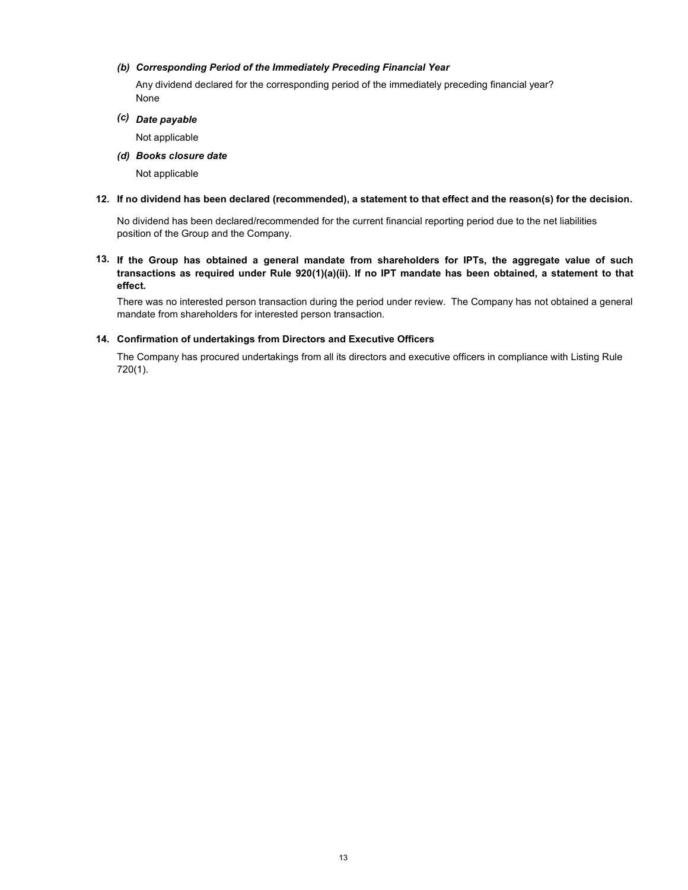### (b) Corresponding Period of the Immediately Preceding Financial Year

None Any dividend declared for the corresponding period of the immediately preceding financial year?

(c) Date payable

Not applicable

(d) Books closure date

Not applicable

### 12. If no dividend has been declared (recommended), a statement to that effect and the reason(s) for the decision.

No dividend has been declared/recommended for the current financial reporting period due to the net liabilities position of the Group and the Company.

13. If the Group has obtained a general mandate from shareholders for IPTs, the aggregate value of such transactions as required under Rule 920(1)(a)(ii). If no IPT mandate has been obtained, a statement to that effect.

There was no interested person transaction during the period under review. The Company has not obtained a general mandate from shareholders for interested person transaction.

## 14. Confirmation of undertakings from Directors and Executive Officers

The Company has procured undertakings from all its directors and executive officers in compliance with Listing Rule 720(1).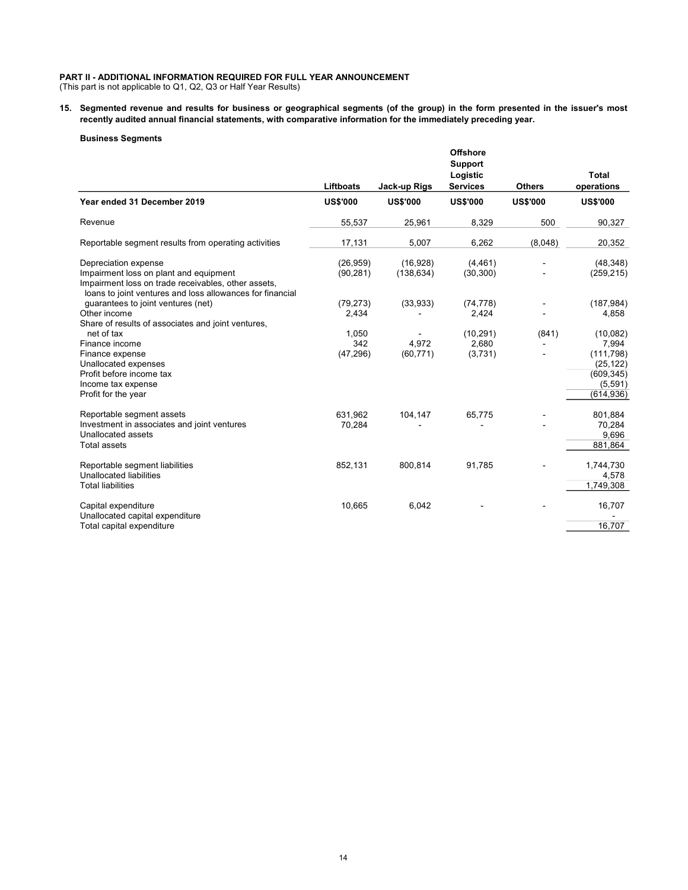### PART II - ADDITIONAL INFORMATION REQUIRED FOR FULL YEAR ANNOUNCEMENT

(This part is not applicable to Q1, Q2, Q3 or Half Year Results)

15. Segmented revenue and results for business or geographical segments (of the group) in the form presented in the issuer's most recently audited annual financial statements, with comparative information for the immediately preceding year.

#### Business Segments

|                                                                                                                                                                                    | Liftboats                 | Jack-up Rigs           | <b>Offshore</b><br><b>Support</b><br>Logistic<br><b>Services</b> | <b>Others</b>   | <b>Total</b><br>operations                                                          |
|------------------------------------------------------------------------------------------------------------------------------------------------------------------------------------|---------------------------|------------------------|------------------------------------------------------------------|-----------------|-------------------------------------------------------------------------------------|
| Year ended 31 December 2019                                                                                                                                                        | <b>US\$'000</b>           | <b>US\$'000</b>        | <b>US\$'000</b>                                                  | <b>US\$'000</b> | <b>US\$'000</b>                                                                     |
| Revenue                                                                                                                                                                            | 55,537                    | 25,961                 | 8,329                                                            | 500             | 90,327                                                                              |
| Reportable segment results from operating activities                                                                                                                               | 17,131                    | 5,007                  | 6,262                                                            | (8,048)         | 20,352                                                                              |
| Depreciation expense<br>Impairment loss on plant and equipment<br>Impairment loss on trade receivables, other assets,<br>loans to joint ventures and loss allowances for financial | (26, 959)<br>(90, 281)    | (16,928)<br>(138, 634) | (4, 461)<br>(30, 300)                                            |                 | (48, 348)<br>(259, 215)                                                             |
| quarantees to joint ventures (net)<br>Other income<br>Share of results of associates and joint ventures,                                                                           | (79, 273)<br>2,434        | (33,933)               | (74, 778)<br>2,424                                               |                 | (187, 984)<br>4,858                                                                 |
| net of tax<br>Finance income<br>Finance expense<br>Unallocated expenses<br>Profit before income tax<br>Income tax expense<br>Profit for the year                                   | 1,050<br>342<br>(47, 296) | 4,972<br>(60, 771)     | (10, 291)<br>2,680<br>(3,731)                                    | (841)           | (10,082)<br>7,994<br>(111, 798)<br>(25, 122)<br>(609, 345)<br>(5,591)<br>(614, 936) |
| Reportable segment assets<br>Investment in associates and joint ventures<br>Unallocated assets<br><b>Total assets</b>                                                              | 631,962<br>70,284         | 104,147                | 65,775                                                           |                 | 801,884<br>70,284<br>9,696<br>881,864                                               |
| Reportable segment liabilities<br>Unallocated liabilities<br><b>Total liabilities</b>                                                                                              | 852,131                   | 800,814                | 91,785                                                           |                 | 1,744,730<br>4,578<br>1,749,308                                                     |
| Capital expenditure<br>Unallocated capital expenditure<br>Total capital expenditure                                                                                                | 10,665                    | 6,042                  |                                                                  |                 | 16,707<br>16,707                                                                    |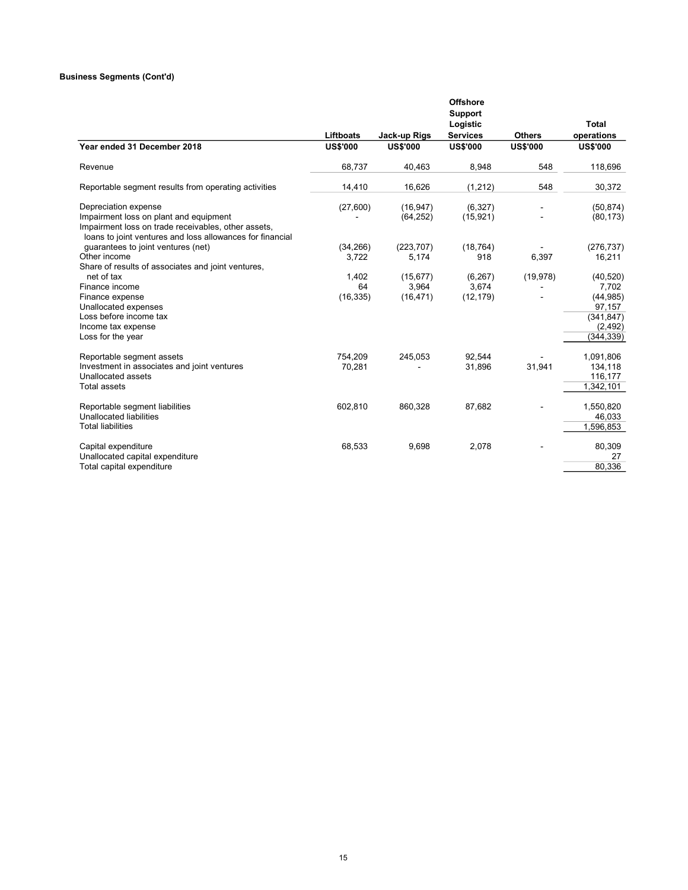#### Business Segments (Cont'd)

|                                                                                                                                                                                    |                          |                                 | <b>Offshore</b><br><b>Support</b><br>Logistic |                 | Total                                                                             |
|------------------------------------------------------------------------------------------------------------------------------------------------------------------------------------|--------------------------|---------------------------------|-----------------------------------------------|-----------------|-----------------------------------------------------------------------------------|
|                                                                                                                                                                                    | Liftboats                | Jack-up Rigs                    | <b>Services</b>                               | <b>Others</b>   | operations                                                                        |
| Year ended 31 December 2018                                                                                                                                                        | <b>US\$'000</b>          | <b>US\$'000</b>                 | <b>US\$'000</b>                               | <b>US\$'000</b> | <b>US\$'000</b>                                                                   |
| Revenue                                                                                                                                                                            | 68,737                   | 40,463                          | 8,948                                         | 548             | 118,696                                                                           |
| Reportable segment results from operating activities                                                                                                                               | 14,410                   | 16,626                          | (1, 212)                                      | 548             | 30,372                                                                            |
| Depreciation expense<br>Impairment loss on plant and equipment<br>Impairment loss on trade receivables, other assets,<br>loans to joint ventures and loss allowances for financial | (27,600)                 | (16, 947)<br>(64, 252)          | (6, 327)<br>(15, 921)                         |                 | (50, 874)<br>(80, 173)                                                            |
| guarantees to joint ventures (net)<br>Other income<br>Share of results of associates and joint ventures,                                                                           | (34, 266)<br>3.722       | (223, 707)<br>5,174             | (18, 764)<br>918                              | 6,397           | (276, 737)<br>16,211                                                              |
| net of tax<br>Finance income<br>Finance expense<br>Unallocated expenses<br>Loss before income tax<br>Income tax expense<br>Loss for the year                                       | 1,402<br>64<br>(16, 335) | (15, 677)<br>3.964<br>(16, 471) | (6, 267)<br>3,674<br>(12, 179)                | (19, 978)       | (40, 520)<br>7,702<br>(44, 985)<br>97,157<br>(341, 847)<br>(2, 492)<br>(344, 339) |
| Reportable segment assets<br>Investment in associates and joint ventures<br>Unallocated assets<br><b>Total assets</b>                                                              | 754.209<br>70,281        | 245,053                         | 92.544<br>31,896                              | 31,941          | 1,091,806<br>134,118<br>116,177<br>1,342,101                                      |
| Reportable segment liabilities<br>Unallocated liabilities<br><b>Total liabilities</b>                                                                                              | 602,810                  | 860,328                         | 87,682                                        |                 | 1,550,820<br>46,033<br>1,596,853                                                  |
| Capital expenditure<br>Unallocated capital expenditure<br>Total capital expenditure                                                                                                | 68,533                   | 9,698                           | 2,078                                         |                 | 80,309<br>27<br>80,336                                                            |